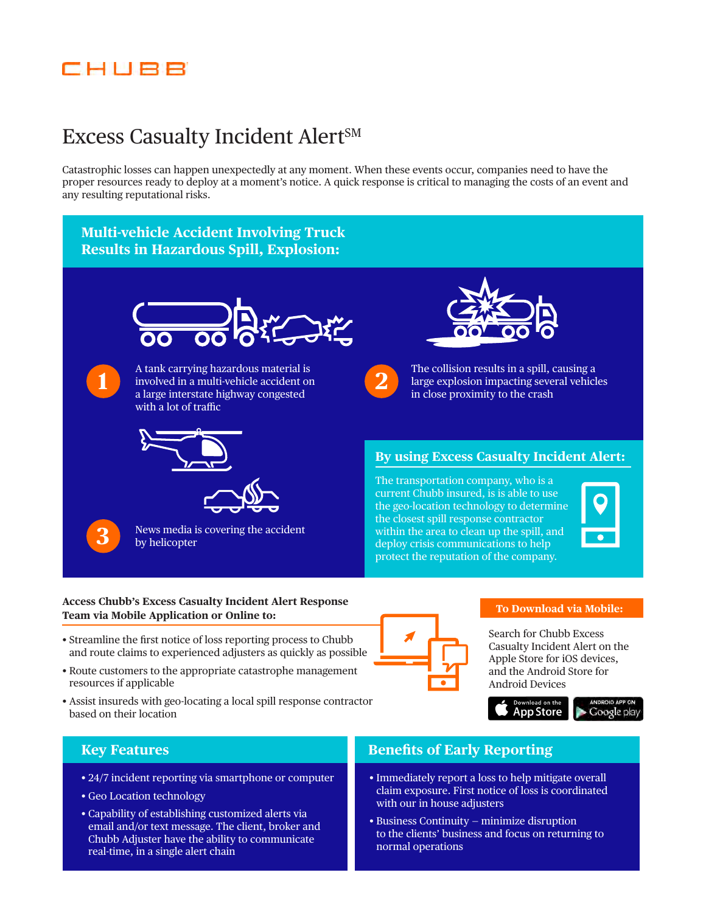## EHUBB

# Excess Casualty Incident Alert<sup>SM</sup>

Catastrophic losses can happen unexpectedly at any moment. When these events occur, companies need to have the proper resources ready to deploy at a moment's notice. A quick response is critical to managing the costs of an event and any resulting reputational risks.

### **Multi-vehicle Accident Involving Truck Results in Hazardous Spill, Explosion:**





A tank carrying hazardous material is involved in a multi-vehicle accident on a large interstate highway congested with a lot of traffic







News media is covering the accident by helicopter





The collision results in a spill, causing a large explosion impacting several vehicles in close proximity to the crash

### **By using Excess Casualty Incident Alert:**

The transportation company, who is a current Chubb insured, is is able to use the geo-location technology to determine the closest spill response contractor within the area to clean up the spill, and deploy crisis communications to help protect the reputation of the company.



### **Access Chubb's Excess Casualty Incident Alert Response Team via Mobile Application or Online to: To Download via Mobile:**

- Streamline the first notice of loss reporting process to Chubb and route claims to experienced adjusters as quickly as possible
- Route customers to the appropriate catastrophe management resources if applicable
- Assist insureds with geo-locating a local spill response contractor based on their location

Search for Chubb Excess Casualty Incident Alert on the Apple Store for iOS devices, and the Android Store for Android Devices





- 24/7 incident reporting via smartphone or computer
- Geo Location technology
- Capability of establishing customized alerts via email and/or text message. The client, broker and Chubb Adjuster have the ability to communicate real-time, in a single alert chain

### **Key Features Benefits of Early Reporting**

- Immediately report a loss to help mitigate overall claim exposure. First notice of loss is coordinated with our in house adjusters
- Business Continuity minimize disruption to the clients' business and focus on returning to normal operations